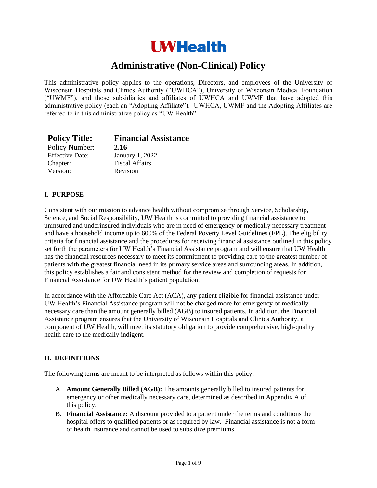# **UWHealth**

# **Administrative (Non-Clinical) Policy**

This administrative policy applies to the operations, Directors, and employees of the University of Wisconsin Hospitals and Clinics Authority ("UWHCA"), University of Wisconsin Medical Foundation ("UWMF"), and those subsidiaries and affiliates of UWHCA and UWMF that have adopted this administrative policy (each an "Adopting Affiliate"). UWHCA, UWMF and the Adopting Affiliates are referred to in this administrative policy as "UW Health".

| <b>Policy Title:</b>   | <b>Financial Assistance</b> |
|------------------------|-----------------------------|
| Policy Number:         | 2.16                        |
| <b>Effective Date:</b> | January 1, 2022             |
| Chapter:               | <b>Fiscal Affairs</b>       |
| Version:               | Revision                    |

#### **I. PURPOSE**

Consistent with our mission to advance health without compromise through Service, Scholarship, Science, and Social Responsibility, UW Health is committed to providing financial assistance to uninsured and underinsured individuals who are in need of emergency or medically necessary treatment and have a household income up to 600% of the Federal Poverty Level Guidelines (FPL). The eligibility criteria for financial assistance and the procedures for receiving financial assistance outlined in this policy set forth the parameters for UW Health's Financial Assistance program and will ensure that UW Health has the financial resources necessary to meet its commitment to providing care to the greatest number of patients with the greatest financial need in its primary service areas and surrounding areas. In addition, this policy establishes a fair and consistent method for the review and completion of requests for Financial Assistance for UW Health's patient population.

In accordance with the Affordable Care Act (ACA), any patient eligible for financial assistance under UW Health's Financial Assistance program will not be charged more for emergency or medically necessary care than the amount generally billed (AGB) to insured patients. In addition, the Financial Assistance program ensures that the University of Wisconsin Hospitals and Clinics Authority, a component of UW Health, will meet its statutory obligation to provide comprehensive, high-quality health care to the medically indigent.

#### **II. DEFINITIONS**

The following terms are meant to be interpreted as follows within this policy:

- A. **Amount Generally Billed (AGB):** The amounts generally billed to insured patients for emergency or other medically necessary care, determined as described in Appendix A of this policy.
- B. **Financial Assistance:** A discount provided to a patient under the terms and conditions the hospital offers to qualified patients or as required by law. Financial assistance is not a form of health insurance and cannot be used to subsidize premiums.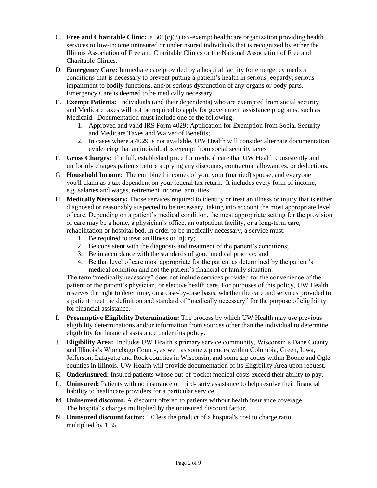- C. **Free and Charitable Clinic:** a  $501(c)(3)$  tax-exempt healthcare organization providing health services to low-income uninsured or underinsured individuals that is recognized by either the Illinois Association of Free and Charitable Clinics or the National Association of Free and Charitable Clinics.
- D. **Emergency Care:** Immediate care provided by a hospital facility for emergency medical conditions that is necessary to prevent putting a patient's health in serious jeopardy, serious impairment to bodily functions, and/or serious dysfunction of any organs or body parts. Emergency Care is deemed to be medically necessary.
- E. **Exempt Patients:** Individuals (and their dependents) who are exempted from social security and Medicare taxes will not be required to apply for government assistance programs, such as Medicaid. Documentation must include one of the following:
	- 1. Approved and valid IRS Form 4029: Application for Exemption from Social Security and Medicare Taxes and Waiver of Benefits;
	- 2. In cases where a 4029 is not available, UW Health will consider alternate documentation evidencing that an individual is exempt from social security taxes
- F. **Gross Charges:** The full, established price for medical care that UW Health consistently and uniformly charges patients before applying any discounts, contractual allowances, or deductions.
- G. **Household Income**: The combined incomes of you, your (married) spouse, and everyone you'll claim as a tax dependent on your federal tax return. It includes every form of income, e.g. salaries and wages, retirement income, annuities.
- H. **Medically Necessary:** Those services required to identify or treat an illness or injury that is either diagnosed or reasonably suspected to be necessary, taking into account the most appropriate level of care. Depending on a patient's medical condition, the most appropriate setting for the provision of care may be a home, a physician's office, an outpatient facility, or a long-term care, rehabilitation or hospital bed. In order to be medically necessary, a service must:
	- 1. Be required to treat an illness or injury;
	- 2. Be consistent with the diagnosis and treatment of the patient's conditions;
	- 3. Be in accordance with the standards of good medical practice; and
	- 4. Be that level of care most appropriate for the patient as determined by the patient's medical condition and not the patient's financial or family situation.

The term "medically necessary" does not include services provided for the convenience of the patient or the patient's physician, or elective health care. For purposes of this policy, UW Health reserves the right to determine, on a case-by-case basis, whether the care and services provided to a patient meet the definition and standard of "medically necessary" for the purpose of eligibility for financial assistance.

- I. **Presumptive Eligibility Determination:** The process by which UW Health may use previous eligibility determinations and/or information from sources other than the individual to determine eligibility for financial assistance under this policy.
- J. **Eligibility Area:** Includes UW Health's primary service community, Wisconsin's Dane County and Illinois's Winnebago County, as well as some zip codes within Columbia, Green, Iowa, Jefferson, Lafayette and Rock counties in Wisconsin, and some zip codes within Boone and Ogle counties in Illinois. UW Health will provide documentation of its Eligibility Area upon request.
- K. **Underinsured:** Insured patients whose out-of-pocket medical costs exceed their ability to pay.
- L. **Uninsured:** Patients with no insurance or third-party assistance to help resolve their financial liability to healthcare providers for a particular service.
- M. **Uninsured discount:** A discount offered to patients without health insurance coverage. The hospital's charges multiplied by the uninsured discount factor.
- N. **Uninsured discount factor:** 1.0 less the product of a hospital's cost to charge ratio multiplied by 1.35.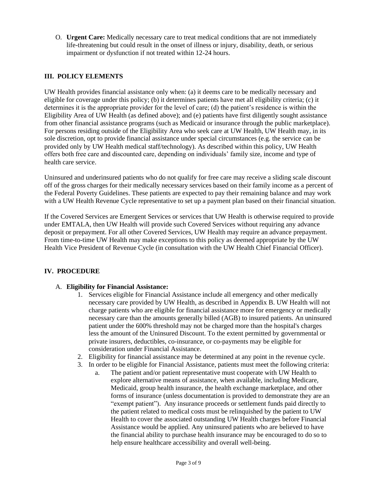O. **Urgent Care:** Medically necessary care to treat medical conditions that are not immediately life-threatening but could result in the onset of illness or injury, disability, death, or serious impairment or dysfunction if not treated within 12-24 hours.

# **III. POLICY ELEMENTS**

UW Health provides financial assistance only when: (a) it deems care to be medically necessary and eligible for coverage under this policy; (b) it determines patients have met all eligibility criteria; (c) it determines it is the appropriate provider for the level of care; (d) the patient's residence is within the Eligibility Area of UW Health (as defined above); and (e) patients have first diligently sought assistance from other financial assistance programs (such as Medicaid or insurance through the public marketplace). For persons residing outside of the Eligibility Area who seek care at UW Health, UW Health may, in its sole discretion, opt to provide financial assistance under special circumstances (e.g. the service can be provided only by UW Health medical staff/technology). As described within this policy, UW Health offers both free care and discounted care, depending on individuals' family size, income and type of health care service.

Uninsured and underinsured patients who do not qualify for free care may receive a sliding scale discount off of the gross charges for their medically necessary services based on their family income as a percent of the Federal Poverty Guidelines. These patients are expected to pay their remaining balance and may work with a UW Health Revenue Cycle representative to set up a payment plan based on their financial situation.

If the Covered Services are Emergent Services or services that UW Health is otherwise required to provide under EMTALA, then UW Health will provide such Covered Services without requiring any advance deposit or prepayment. For all other Covered Services, UW Health may require an advance prepayment. From time-to-time UW Health may make exceptions to this policy as deemed appropriate by the UW Health Vice President of Revenue Cycle (in consultation with the UW Health Chief Financial Officer).

# **IV. PROCEDURE**

# A. **Eligibility for Financial Assistance:**

- 1. Services eligible for Financial Assistance include all emergency and other medically necessary care provided by UW Health, as described in Appendix B. UW Health will not charge patients who are eligible for financial assistance more for emergency or medically necessary care than the amounts generally billed (AGB) to insured patients. An uninsured patient under the 600% threshold may not be charged more than the hospital's charges less the amount of the Uninsured Discount. To the extent permitted by governmental or private insurers, deductibles, co-insurance, or co-payments may be eligible for consideration under Financial Assistance.
- 2. Eligibility for financial assistance may be determined at any point in the revenue cycle.
- 3. In order to be eligible for Financial Assistance, patients must meet the following criteria:
	- a. The patient and/or patient representative must cooperate with UW Health to explore alternative means of assistance, when available, including Medicare, Medicaid, group health insurance, the health exchange marketplace, and other forms of insurance (unless documentation is provided to demonstrate they are an "exempt patient"). Any insurance proceeds or settlement funds paid directly to the patient related to medical costs must be relinquished by the patient to UW Health to cover the associated outstanding UW Health charges before Financial Assistance would be applied. Any uninsured patients who are believed to have the financial ability to purchase health insurance may be encouraged to do so to help ensure healthcare accessibility and overall well-being.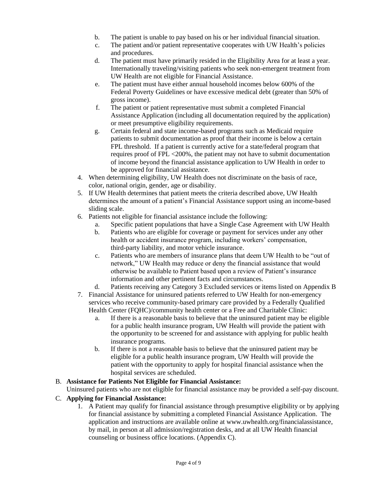- b. The patient is unable to pay based on his or her individual financial situation.
- c. The patient and/or patient representative cooperates with UW Health's policies and procedures.
- d. The patient must have primarily resided in the Eligibility Area for at least a year. Internationally traveling/visiting patients who seek non-emergent treatment from UW Health are not eligible for Financial Assistance.
- e. The patient must have either annual household incomes below 600% of the Federal Poverty Guidelines or have excessive medical debt (greater than 50% of gross income).
- f. The patient or patient representative must submit a completed Financial Assistance Application (including all documentation required by the application) or meet presumptive eligibility requirements.
- g. Certain federal and state income-based programs such as Medicaid require patients to submit documentation as proof that their income is below a certain FPL threshold. If a patient is currently active for a state/federal program that requires proof of FPL <200%, the patient may not have to submit documentation of income beyond the financial assistance application to UW Health in order to be approved for financial assistance.
- 4. When determining eligibility, UW Health does not discriminate on the basis of race, color, national origin, gender, age or disability.
- 5. If UW Health determines that patient meets the criteria described above, UW Health determines the amount of a patient's Financial Assistance support using an income-based sliding scale.
- 6. Patients not eligible for financial assistance include the following:
	- a. Specific patient populations that have a Single Case Agreement with UW Health
	- b. Patients who are eligible for coverage or payment for services under any other health or accident insurance program, including workers' compensation, third-party liability, and motor vehicle insurance.
	- c. Patients who are members of insurance plans that deem UW Health to be "out of network," UW Health may reduce or deny the financial assistance that would otherwise be available to Patient based upon a review of Patient's insurance information and other pertinent facts and circumstances.
	- d. Patients receiving any Category 3 Excluded services or items listed on Appendix B
- 7. Financial Assistance for uninsured patients referred to UW Health for non-emergency services who receive community-based primary care provided by a Federally Qualified Health Center (FQHC)/community health center or a Free and Charitable Clinic:
	- a. If there is a reasonable basis to believe that the uninsured patient may be eligible for a public health insurance program, UW Health will provide the patient with the opportunity to be screened for and assistance with applying for public health insurance programs.
	- b. If there is not a reasonable basis to believe that the uninsured patient may be eligible for a public health insurance program, UW Health will provide the patient with the opportunity to apply for hospital financial assistance when the hospital services are scheduled.

#### B. **Assistance for Patients Not Eligible for Financial Assistance:**

Uninsured patients who are not eligible for financial assistance may be provided a self-pay discount.

# C. **Applying for Financial Assistance:**

1. A Patient may qualify for financial assistance through presumptive eligibility or by applying for financial assistance by submitting a completed Financial Assistance Application. The application and instructions are available online at [www.uwhealth.org/financialassistance,](http://www.uwhealth.org/communitycare) by mail, in person at all admission/registration desks, and at all UW Health financial counseling or business office locations. (Appendix C).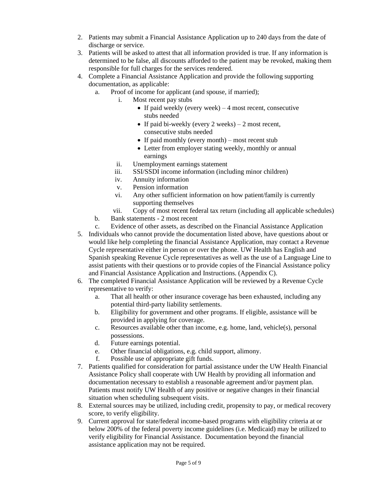- 2. Patients may submit a Financial Assistance Application up to 240 days from the date of discharge or service.
- 3. Patients will be asked to attest that all information provided is true. If any information is determined to be false, all discounts afforded to the patient may be revoked, making them responsible for full charges for the services rendered.
- 4. Complete a Financial Assistance Application and provide the following supporting documentation, as applicable:
	- a. Proof of income for applicant (and spouse, if married);
		- i. Most recent pay stubs
			- If paid weekly (every week)  $-4$  most recent, consecutive stubs needed
			- If paid bi-weekly (every 2 weeks)  $-2$  most recent, consecutive stubs needed
			- If paid monthly (every month) most recent stub
			- Letter from employer stating weekly, monthly or annual earnings
		- ii. Unemployment earnings statement
		- iii. SSI/SSDI income information (including minor children)
		- iv. Annuity information
		- v. Pension information
		- vi. Any other sufficient information on how patient/family is currently supporting themselves
		- vii. Copy of most recent federal tax return (including all applicable schedules)
	- b. Bank statements 2 most recent
	- c. Evidence of other assets, as described on the Financial Assistance Application
- 5. Individuals who cannot provide the documentation listed above, have questions about or would like help completing the financial Assistance Application, may contact a Revenue Cycle representative either in person or over the phone. UW Health has English and Spanish speaking Revenue Cycle representatives as well as the use of a Language Line to assist patients with their questions or to provide copies of the Financial Assistance policy and Financial Assistance Application and Instructions. (Appendix C).
- 6. The completed Financial Assistance Application will be reviewed by a Revenue Cycle representative to verify:
	- a. That all health or other insurance coverage has been exhausted, including any potential third-party liability settlements.
	- b. Eligibility for government and other programs. If eligible, assistance will be provided in applying for coverage.
	- c. Resources available other than income, e.g. home, land, vehicle(s), personal possessions.
	- d. Future earnings potential.
	- e. Other financial obligations, e.g. child support, alimony.
	- f. Possible use of appropriate gift funds.
- 7. Patients qualified for consideration for partial assistance under the UW Health Financial Assistance Policy shall cooperate with UW Health by providing all information and documentation necessary to establish a reasonable agreement and/or payment plan. Patients must notify UW Health of any positive or negative changes in their financial situation when scheduling subsequent visits.
- 8. External sources may be utilized, including credit, propensity to pay, or medical recovery score, to verify eligibility.
- 9. Current approval for state/federal income-based programs with eligibility criteria at or below 200% of the federal poverty income guidelines (i.e. Medicaid) may be utilized to verify eligibility for Financial Assistance. Documentation beyond the financial assistance application may not be required.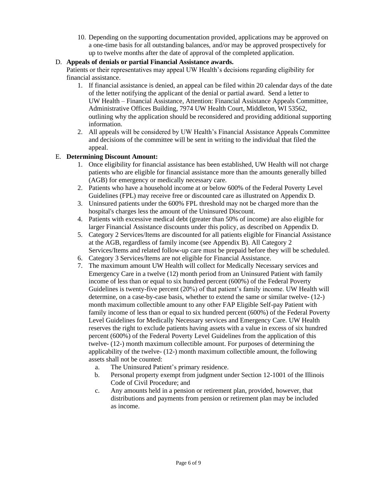10. Depending on the supporting documentation provided, applications may be approved on a one-time basis for all outstanding balances, and/or may be approved prospectively for up to twelve months after the date of approval of the completed application.

# D. **Appeals of denials or partial Financial Assistance awards.**

Patients or their representatives may appeal UW Health's decisions regarding eligibility for financial assistance.

- 1. If financial assistance is denied, an appeal can be filed within 20 calendar days of the date of the letter notifying the applicant of the denial or partial award. Send a letter to UW Health – Financial Assistance, Attention: Financial Assistance Appeals Committee, Administrative Offices Building, 7974 UW Health Court, Middleton, WI 53562, outlining why the application should be reconsidered and providing additional supporting information.
- 2. All appeals will be considered by UW Health's Financial Assistance Appeals Committee and decisions of the committee will be sent in writing to the individual that filed the appeal.

# E. **Determining Discount Amount:**

- 1. Once eligibility for financial assistance has been established, UW Health will not charge patients who are eligible for financial assistance more than the amounts generally billed (AGB) for emergency or medically necessary care.
- 2. Patients who have a household income at or below 600% of the Federal Poverty Level Guidelines (FPL) may receive free or discounted care as illustrated on Appendix D.
- 3. Uninsured patients under the 600% FPL threshold may not be charged more than the hospital's charges less the amount of the Uninsured Discount.
- 4. Patients with excessive medical debt (greater than 50% of income) are also eligible for larger Financial Assistance discounts under this policy, as described on Appendix D.
- 5. Category 2 Services/Items are discounted for all patients eligible for Financial Assistance at the AGB, regardless of family income (see Appendix B). All Category 2 Services/Items and related follow-up care must be prepaid before they will be scheduled.
- 6. Category 3 Services/Items are not eligible for Financial Assistance.
- 7. The maximum amount UW Health will collect for Medically Necessary services and Emergency Care in a twelve (12) month period from an Uninsured Patient with family income of less than or equal to six hundred percent (600%) of the Federal Poverty Guidelines is twenty-five percent (20%) of that patient's family income. UW Health will determine, on a case-by-case basis, whether to extend the same or similar twelve- (12-) month maximum collectible amount to any other FAP Eligible Self-pay Patient with family income of less than or equal to six hundred percent (600%) of the Federal Poverty Level Guidelines for Medically Necessary services and Emergency Care. UW Health reserves the right to exclude patients having assets with a value in excess of six hundred percent (600%) of the Federal Poverty Level Guidelines from the application of this twelve- (12-) month maximum collectible amount. For purposes of determining the applicability of the twelve- (12-) month maximum collectible amount, the following assets shall not be counted:
	- a. The Uninsured Patient's primary residence.
	- b. Personal property exempt from judgment under Section 12-1001 of the Illinois Code of Civil Procedure; and
	- c. Any amounts held in a pension or retirement plan, provided, however, that distributions and payments from pension or retirement plan may be included as income.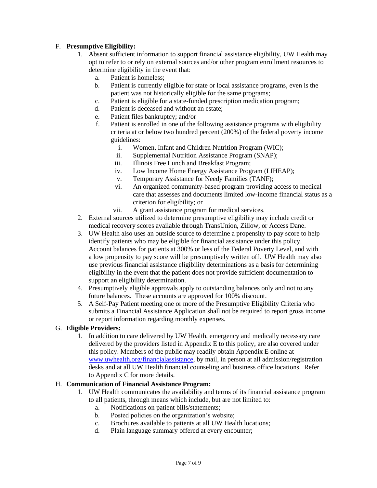# F. **Presumptive Eligibility:**

- 1. Absent sufficient information to support financial assistance eligibility, UW Health may opt to refer to or rely on external sources and/or other program enrollment resources to determine eligibility in the event that:
	- a. Patient is homeless;
	- b. Patient is currently eligible for state or local assistance programs, even is the patient was not historically eligible for the same programs;
	- c. Patient is eligible for a state-funded prescription medication program;
	- d. Patient is deceased and without an estate;
	- e. Patient files bankruptcy; and/or
	- f. Patient is enrolled in one of the following assistance programs with eligibility criteria at or below two hundred percent (200%) of the federal poverty income guidelines:
		- i. Women, Infant and Children Nutrition Program (WIC);
		- ii. Supplemental Nutrition Assistance Program (SNAP);
		- iii. Illinois Free Lunch and Breakfast Program;
		- iv. Low Income Home Energy Assistance Program (LIHEAP);
		- v. Temporary Assistance for Needy Families (TANF);
		- vi. An organized community-based program providing access to medical care that assesses and documents limited low-income financial status as a criterion for eligibility; or
		- vii. A grant assistance program for medical services.
- 2. External sources utilized to determine presumptive eligibility may include credit or medical recovery scores available through TransUnion, Zillow, or Access Dane.
- 3. UW Health also uses an outside source to determine a propensity to pay score to help identify patients who may be eligible for financial assistance under this policy. Account balances for patients at 300% or less of the Federal Poverty Level, and with a low propensity to pay score will be presumptively written off. UW Health may also use previous financial assistance eligibility determinations as a basis for determining eligibility in the event that the patient does not provide sufficient documentation to support an eligibility determination.
- 4. Presumptively eligible approvals apply to outstanding balances only and not to any future balances. These accounts are approved for 100% discount.
- 5. A Self-Pay Patient meeting one or more of the Presumptive Eligibility Criteria who submits a Financial Assistance Application shall not be required to report gross income or report information regarding monthly expenses.

#### G. **Eligible Providers:**

1. In addition to care delivered by UW Health, emergency and medically necessary care delivered by the providers listed in Appendix E to this policy, are also covered under this policy. Members of the public may readily obtain Appendix E online at [www.uwhealth.org/financialassistance,](http://www.uwhealth.org/financialassistance) by mail, in person at all admission/registration desks and at all UW Health financial counseling and business office locations. Refer to Appendix C for more details.

#### H. **Communication of Financial Assistance Program:**

- 1. UW Health communicates the availability and terms of its financial assistance program to all patients, through means which include, but are not limited to:
	- a. Notifications on patient bills/statements;
	- b. Posted policies on the organization's website;
	- c. Brochures available to patients at all UW Health locations;
	- d. Plain language summary offered at every encounter;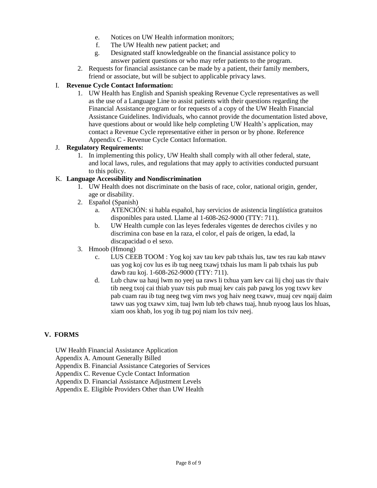- e. Notices on UW Health information monitors;
- f. The UW Health new patient packet; and
- g. Designated staff knowledgeable on the financial assistance policy to answer patient questions or who may refer patients to the program.
- 2. Requests for financial assistance can be made by a patient, their family members, friend or associate, but will be subject to applicable privacy laws.

#### I. **Revenue Cycle Contact Information:**

1. UW Health has English and Spanish speaking Revenue Cycle representatives as well as the use of a Language Line to assist patients with their questions regarding the Financial Assistance program or for requests of a copy of the UW Health Financial Assistance Guidelines. Individuals, who cannot provide the documentation listed above, have questions about or would like help completing UW Health's application, may contact a Revenue Cycle representative either in person or by phone. Reference Appendix C - Revenue Cycle Contact Information.

#### J. **Regulatory Requirements:**

1. In implementing this policy, UW Health shall comply with all other federal, state, and local laws, rules, and regulations that may apply to activities conducted pursuant to this policy.

#### K. **Language Accessibility and Nondiscrimination**

- 1. UW Health does not discriminate on the basis of race, color, national origin, gender, age or disability.
- 2. Español (Spanish)
	- a. ATENCIÓN: si habla español, hay servicios de asistencia lingüística gratuitos disponibles para usted. Llame al 1-608-262-9000 (TTY: 711).
	- b. UW Health cumple con las leyes federales vigentes de derechos civiles y no discrimina con base en la raza, el color, el país de origen, la edad, la discapacidad o el sexo.
- 3. Hmoob (Hmong)
	- c. LUS CEEB TOOM : Yog koj xav tau kev pab txhais lus, taw tes rau kab ntawv uas yog koj cov lus es ib tug neeg txawj txhais lus mam li pab txhais lus pub dawb rau koj. 1-608-262-9000 (TTY: 711).
	- d. Lub chaw ua hauj lwm no yeej ua raws li txhua yam kev cai lij choj uas tiv thaiv tib neeg txoj cai thiab yuav tsis pub muaj kev cais pab pawg los yog txwv kev pab cuam rau ib tug neeg twg vim nws yog haiv neeg txawv, muaj cev nqaij daim tawv uas yog txawv xim, tuaj lwm lub teb chaws tuaj, hnub nyoog laus los hluas, xiam oos khab, los yog ib tug poj niam los txiv neej.

#### **V. FORMS**

- UW Health Financial Assistance Application
- Appendix A. Amount Generally Billed
- Appendix B. Financial Assistance Categories of Services
- Appendix C. Revenue Cycle Contact Information
- Appendix D. Financial Assistance Adjustment Levels
- Appendix E. Eligible Providers Other than UW Health